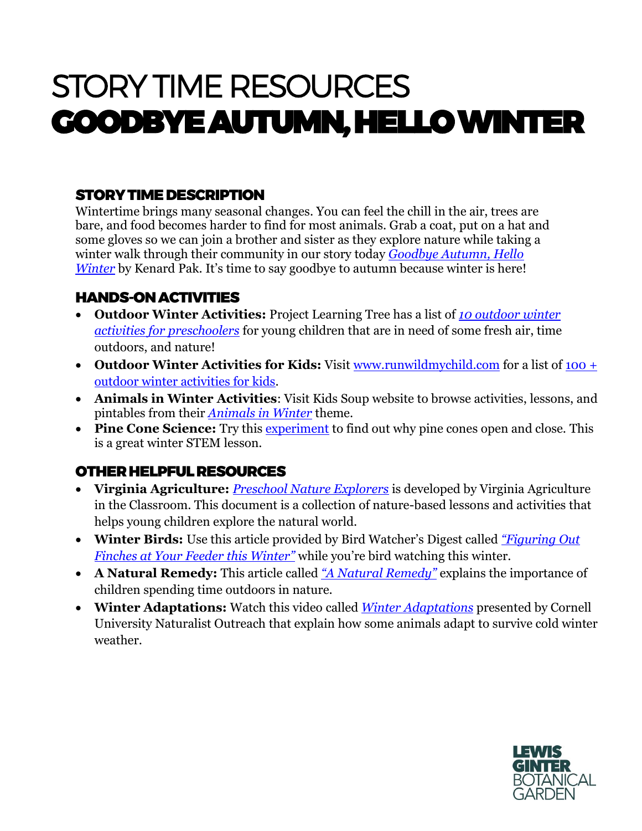# STORY TIME RESOURCES GOODBYE AUTUMN, HELLO WINTER

## STORY TIME DESCRIPTION

Wintertime brings many seasonal changes. You can feel the chill in the air, trees are bare, and food becomes harder to find for most animals. Grab a coat, put on a hat and some gloves so we can join a brother and sister as they explore nature while taking a winter walk through their community in our story today *[Goodbye Autumn, Hello](https://www.amazon.com/Goodbye-Autumn-Hello-Winter-Kenard/dp/1627794166)  [Winter](https://www.amazon.com/Goodbye-Autumn-Hello-Winter-Kenard/dp/1627794166)* by Kenard Pak. It's time to say goodbye to autumn because winter is here!

### HANDS-ON ACTIVITIES

- **Outdoor Winter Activities:** Project Learning Tree has a list of *[10 outdoor winter](https://www.plt.org/educator-tips/outdoor-winter-activities-preschool)  [activities for preschoolers](https://www.plt.org/educator-tips/outdoor-winter-activities-preschool)* for young children that are in need of some fresh air, time outdoors, and nature!
- Outdoor Winter Activities for Kids: Visit [www.runwildmychild.com](http://www.runwildmychild.com/) for a list of 100 + [outdoor winter activities for kids.](https://runwildmychild.com/outdoor-winter-activities-for-kids/)
- **Animals in Winter Activities**: Visit Kids Soup website to browse activities, lessons, and pintables from their *[Animals in Winter](https://www.kidssoup.com/activity/animals-in-winter-preschool-activities-lessons-and-printables)* theme.
- Pine Cone Science: Try this [experiment](https://parentingchaos.com/why-do-pine-cones-open-and-close/) to find out why pine cones open and close. This is a great winter STEM lesson.

## OTHER HELPFUL RESOURCES

- **Virginia Agriculture:** *[Preschool Nature Explorers](https://agclassroom.org/va/teachers/lesson_subject/nature.pdf)* is developed by Virginia Agriculture in the Classroom. This document is a collection of nature-based lessons and activities that helps young children explore the natural world.
- **Winter Birds:** Use this article provided by Bird Watcher's Digest called *["Figuring Out](https://www.birdwatchersdigest.com/bwdsite/solve/howto/figuring-out-finches-at-your-feeder-this-winter.php?mc_cid=f1682f2ae2&mc_eid=c6fa49b9ce)  [Finches at Your Feeder this Winter"](https://www.birdwatchersdigest.com/bwdsite/solve/howto/figuring-out-finches-at-your-feeder-this-winter.php?mc_cid=f1682f2ae2&mc_eid=c6fa49b9ce)* while you're bird watching this winter.
- **A Natural Remedy:** This article called *["A Natural Remedy"](https://www.bendsource.com/bend/a-natural-remedy/Content?oid=13619520&utm_source=Children+%26+Nature+Network+News+%26+Updates&utm_campaign=650ab8d730-EMAIL_CAMPAIGN_2020_11_05_05_20_COPY_01&utm_medium=email&utm_term=0_e0808fca17-650ab8d730-39716728&mc_cid=650ab8d730&mc_eid=02288fbd98)* explains the importance of children spending time outdoors in nature.
- **Winter Adaptations:** Watch this video called *[Winter Adaptations](https://www.youtube.com/watch?v=NK058-HUK24)* presented by Cornell University Naturalist Outreach that explain how some animals adapt to survive cold winter weather.